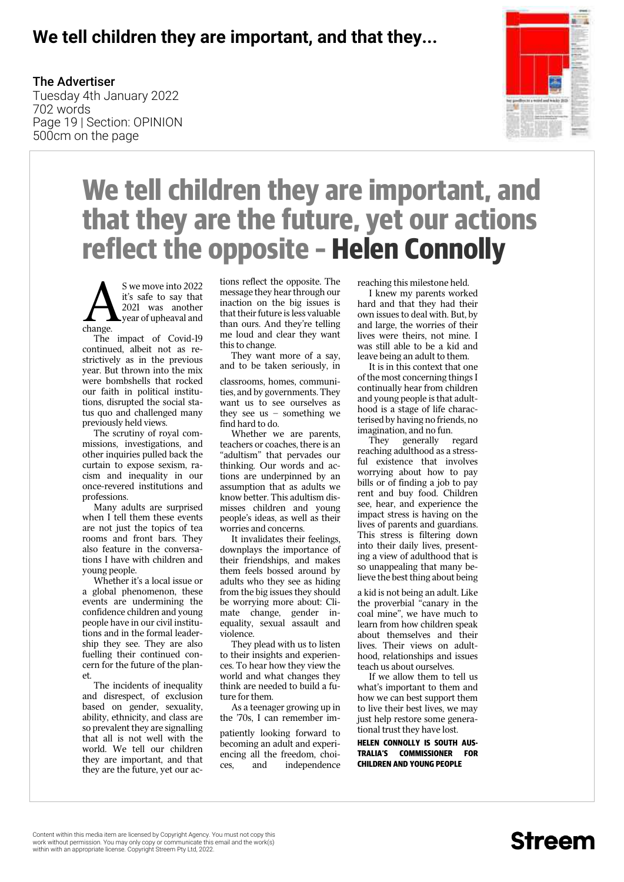#### **We tell children they are important, and that they...**

#### The Advertiser

Tuesday 4th January 2022 702 words Page 19 | Section: OPINION 500cm on the page



# **We tell children they are important, and that they are the future, yet our actions reflect the opposite – Helen Connolly**

A change. S we move into 2022 it's safe to say that 2021 was another year of upheaval and

The impact of Covid-19 continued, albeit not as restrictively as in the previous year. But thrown into the mix were bombshells that rocked our faith in political institutions, disrupted the social status quo and challenged many previously held views.

The scrutiny of royal commissions, investigations, and other inquiries pulled back the curtain to expose sexism, racism and inequality in our once-revered institutions and professions.

Many adults are surprised when I tell them these events are not just the topics of tea rooms and front bars. They also feature in the conversations I have with children and young people.

Whether it's a local issue or a global phenomenon, these events are undermining the confidence children and young people have in our civil institutions and in the formal leadership they see. They are also fuelling their continued concern for the future of the planet.

The incidents of inequality and disrespect, of exclusion based on gender, sexuality, ability, ethnicity, and class are so prevalent they are signalling that all is not well with the world. We tell our children they are important, and that they are the future, yet our ac-

tions reflect the opposite. The message they hear through our inaction on the big issues is that their future is less valuable than ours. And they're telling me loud and clear they want this to change.

They want more of a say, and to be taken seriously, in

classrooms, homes, communities, and by governments. They want us to see ourselves as they see us – something we find hard to do.

Whether we are parents, teachers or coaches, there is an "adultism" that pervades our thinking. Our words and actions are underpinned by an assumption that as adults we know better. This adultism dismisses children and young people's ideas, as well as their worries and concerns.

It invalidates their feelings, downplays the importance of their friendships, and makes them feels bossed around by adults who they see as hiding from the big issues they should be worrying more about: Climate change, gender inequality, sexual assault and violence.

 They plead with us to listen to their insights and experiences. To hear how they view the world and what changes they think are needed to build a future for them.

As a teenager growing up in the '70s, I can remember im-

patiently looking forward to becoming an adult and experiencing all the freedom, choices, and independence

reaching this milestone held.

I knew my parents worked hard and that they had their own issues to deal with. But, by and large, the worries of their lives were theirs, not mine. I was still able to be a kid and leave being an adult to them.

It is in this context that one of the most concerning things I continually hear from children and young people is that adulthood is a stage of life characterised by having no friends, no imagination, and no fun.

They generally regard reaching adulthood as a stressful existence that involves worrying about how to pay bills or of finding a job to pay rent and buy food. Children see, hear, and experience the impact stress is having on the lives of parents and guardians. This stress is filtering down into their daily lives, presenting a view of adulthood that is so unappealing that many believe the best thing about being

a kid is not being an adult. Like the proverbial "canary in the coal mine", we have much to learn from how children speak about themselves and their lives. Their views on adulthood, relationships and issues teach us about ourselves.

If we allow them to tell us what's important to them and how we can best support them to live their best lives, we may just help restore some generational trust they have lost.

**Helen Connolly is South Australia'S Commissioner for Children and Young People**

### Streem